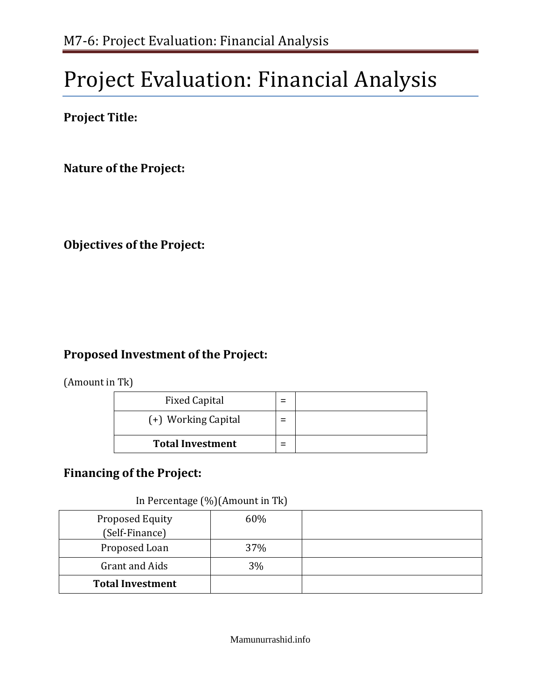# Project Evaluation: Financial Analysis

**Project Title:**

**Nature of the Project:**

**Objectives of the Project:**

# **Proposed Investment of the Project:**

(Amount in Tk)

| <b>Fixed Capital</b>    | Ξ   |  |
|-------------------------|-----|--|
| (+) Working Capital     | $=$ |  |
| <b>Total Investment</b> | $=$ |  |

# **Financing of the Project:**

In Percentage (%)(Amount in Tk)

| Proposed Equity<br>(Self-Finance) | 60% |  |
|-----------------------------------|-----|--|
| Proposed Loan                     | 37% |  |
| Grant and Aids                    | 3%  |  |
| <b>Total Investment</b>           |     |  |

Mamunurrashid.info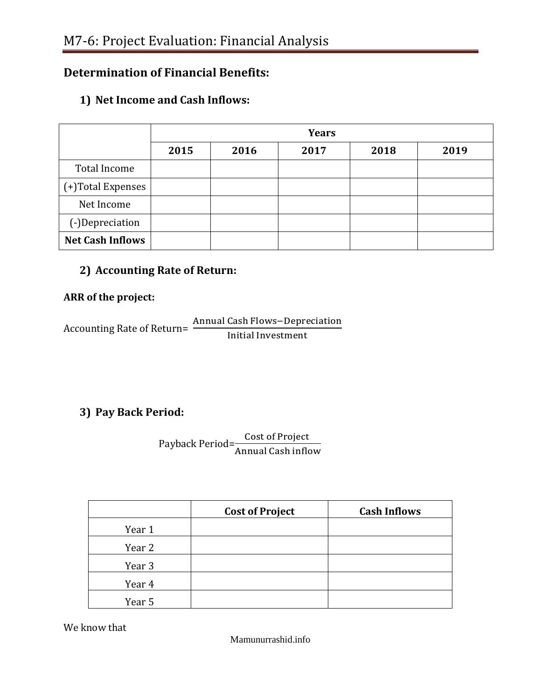# **Determination of Financial Benefits:**

#### **1) Net Income and Cash Inflows:**

|                         | <b>Years</b> |      |      |      |      |
|-------------------------|--------------|------|------|------|------|
|                         | 2015         | 2016 | 2017 | 2018 | 2019 |
| Total Income            |              |      |      |      |      |
| (+)Total Expenses       |              |      |      |      |      |
| Net Income              |              |      |      |      |      |
| (-)Depreciation         |              |      |      |      |      |
| <b>Net Cash Inflows</b> |              |      |      |      |      |

#### **2) Accounting Rate of Return:**

#### **ARR of the project:**

Accounting Rate of Return=  $\frac{A}{A}$ I

## **3) Pay Back Period:**

Payback Period= $\frac{C}{\sqrt{C}}$ A

|        | <b>Cost of Project</b> | <b>Cash Inflows</b> |
|--------|------------------------|---------------------|
| Year 1 |                        |                     |
| Year 2 |                        |                     |
| Year 3 |                        |                     |
| Year 4 |                        |                     |
| Year 5 |                        |                     |

We know that

Mamunurrashid.info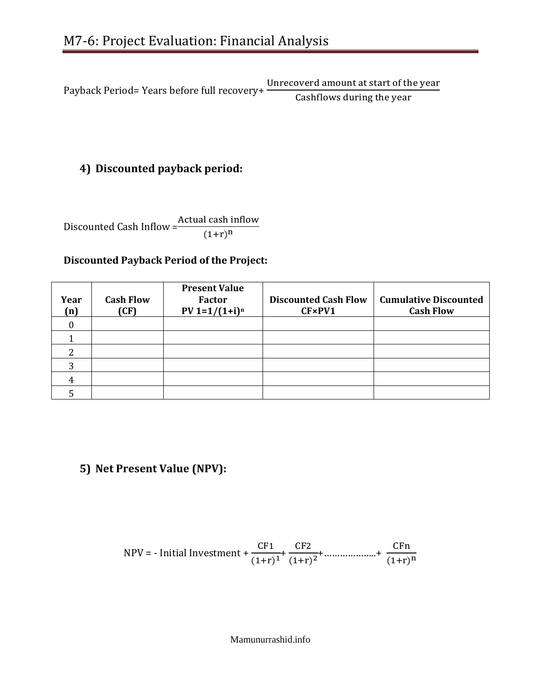Payback Period= Years before full recovery+ C

# **4) Discounted payback period:**

Discounted Cash Inflow =  $(1+r)^n$ 

#### **Discounted Payback Period of the Project:**

| Year<br>(n) | <b>Cash Flow</b><br>(CF) | <b>Present Value</b><br><b>Factor</b><br>$PV 1=1/(1+i)^n$ | <b>Discounted Cash Flow</b><br>CF×PV1 | <b>Cumulative Discounted</b><br><b>Cash Flow</b> |
|-------------|--------------------------|-----------------------------------------------------------|---------------------------------------|--------------------------------------------------|
|             |                          |                                                           |                                       |                                                  |
|             |                          |                                                           |                                       |                                                  |
|             |                          |                                                           |                                       |                                                  |
| ◠           |                          |                                                           |                                       |                                                  |
|             |                          |                                                           |                                       |                                                  |
|             |                          |                                                           |                                       |                                                  |

# **5) Net Present Value (NPV):**

$$
NPV = - Initial Investment + \frac{CF1}{(1+r)^{1}} + \frac{CF2}{(1+r)^{2}} + \dots + \frac{CFn}{(1+r)^{n}}
$$

Mamunurrashid.info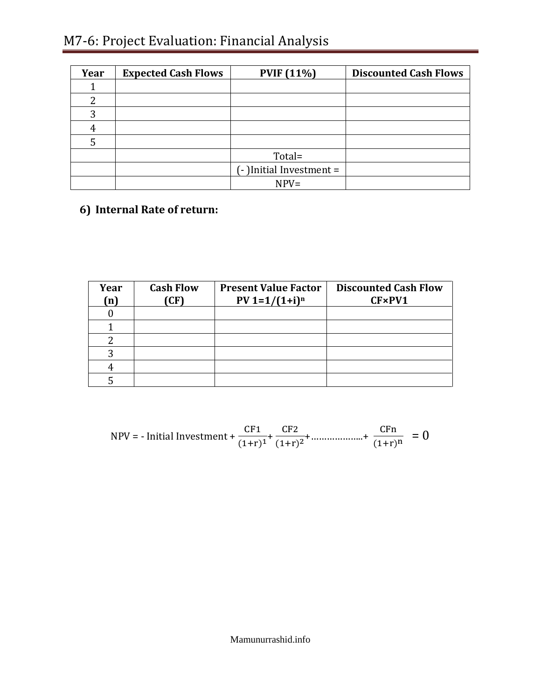# M7-6: Project Evaluation: Financial Analysis

| Year | <b>Expected Cash Flows</b> | <b>PVIF</b> (11%)       | <b>Discounted Cash Flows</b> |
|------|----------------------------|-------------------------|------------------------------|
|      |                            |                         |                              |
| 2    |                            |                         |                              |
| 3    |                            |                         |                              |
| 4    |                            |                         |                              |
|      |                            |                         |                              |
|      |                            | Total=                  |                              |
|      |                            | (-)Initial Investment = |                              |
|      |                            | $NPV =$                 |                              |

**6) Internal Rate of return:**

| Year<br>(n) | <b>Cash Flow</b><br>(CF) | <b>Present Value Factor</b><br>$PV 1=1/(1+i)^n$ | <b>Discounted Cash Flow</b><br>CF×PV1 |
|-------------|--------------------------|-------------------------------------------------|---------------------------------------|
|             |                          |                                                 |                                       |
|             |                          |                                                 |                                       |
|             |                          |                                                 |                                       |
|             |                          |                                                 |                                       |
|             |                          |                                                 |                                       |
|             |                          |                                                 |                                       |

$$
NPV = -\text{Initial Investment} + \frac{\text{CF1}}{(1+r)^{1}} + \frac{\text{CF2}}{(1+r)^{2}} + \dots + \frac{\text{CFn}}{(1+r)^{n}} = 0
$$